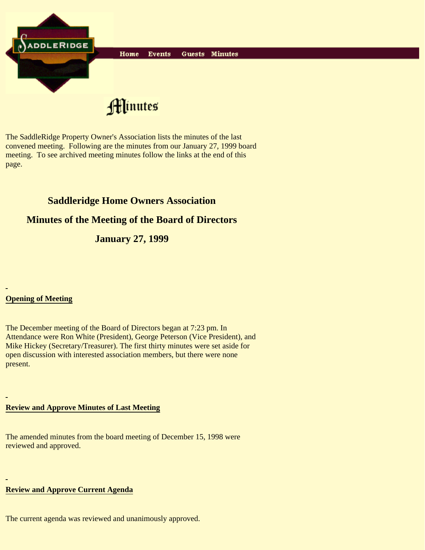

The SaddleRidge Property Owner's Association lists the minutes of the last convened meeting. Following are the minutes from our January 27, 1999 board meeting. To see archived meeting minutes follow the links at the end of this page.

# **Saddleridge Home Owners Association**

## **Minutes of the Meeting of the Board of Directors**

**January 27, 1999**

## **Opening of Meeting**

The December meeting of the Board of Directors began at 7:23 pm. In Attendance were Ron White (President), George Peterson (Vice President), and Mike Hickey (Secretary/Treasurer). The first thirty minutes were set aside for open discussion with interested association members, but there were none present.

#### **Review and Approve Minutes of Last Meeting**

The amended minutes from the board meeting of December 15, 1998 were reviewed and approved.

#### **Review and Approve Current Agenda**

The current agenda was reviewed and unanimously approved.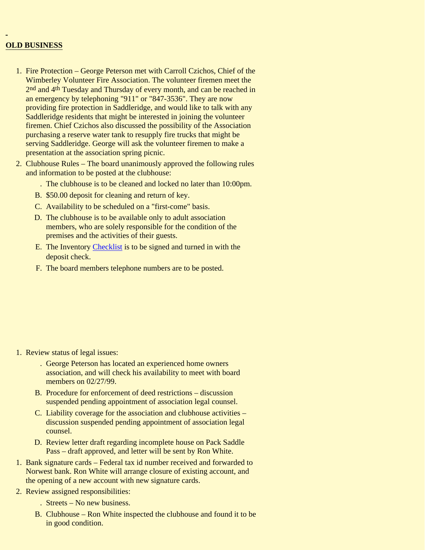#### **OLD BUSINESS**

- 1. Fire Protection George Peterson met with Carroll Czichos, Chief of the Wimberley Volunteer Fire Association. The volunteer firemen meet the 2nd and 4th Tuesday and Thursday of every month, and can be reached in an emergency by telephoning "911" or "847-3536". They are now providing fire protection in Saddleridge, and would like to talk with any Saddleridge residents that might be interested in joining the volunteer firemen. Chief Czichos also discussed the possibility of the Association purchasing a reserve water tank to resupply fire trucks that might be serving Saddleridge. George will ask the volunteer firemen to make a presentation at the association spring picnic.
- 2. Clubhouse Rules The board unanimously approved the following rules and information to be posted at the clubhouse:
	- . The clubhouse is to be cleaned and locked no later than 10:00pm.
	- B. \$50.00 deposit for cleaning and return of key.
	- C. Availability to be scheduled on a "first-come" basis.
	- D. The clubhouse is to be available only to adult association members, who are solely responsible for the condition of the premises and the activities of their guests.
	- E. The Inventory Checklist is to be signed and turned in with the deposit check.
	- F. The board members telephone numbers are to be posted.

- 1. Review status of legal issues:
	- George Peterson has located an experienced home owners . association, and will check his availability to meet with board members on 02/27/99.
	- B. Procedure for enforcement of deed restrictions discussion suspended pending appointment of association legal counsel.
	- C. Liability coverage for the association and clubhouse activities discussion suspended pending appointment of association legal counsel.
	- D. Review letter draft regarding incomplete house on Pack Saddle Pass – draft approved, and letter will be sent by Ron White.
- 1. Bank signature cards Federal tax id number received and forwarded to Norwest bank. Ron White will arrange closure of existing account, and the opening of a new account with new signature cards.
- 2. Review assigned responsibilities:
	- . Streets No new business.
	- B. Clubhouse Ron White inspected the clubhouse and found it to be in good condition.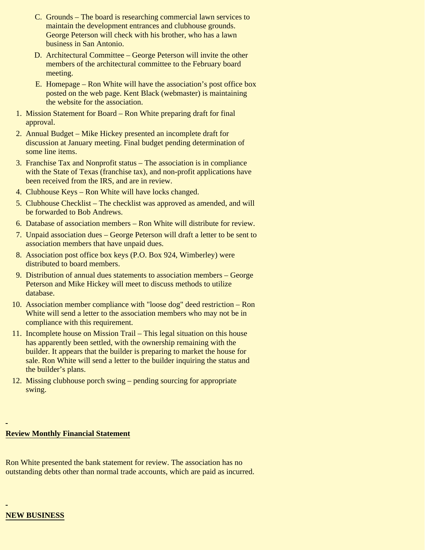- C. Grounds The board is researching commercial lawn services to maintain the development entrances and clubhouse grounds. George Peterson will check with his brother, who has a lawn business in San Antonio.
- D. Architectural Committee George Peterson will invite the other members of the architectural committee to the February board meeting.
- E. Homepage Ron White will have the association's post office box posted on the web page. Kent Black (webmaster) is maintaining the website for the association.
- 1. Mission Statement for Board Ron White preparing draft for final approval.
- 2. Annual Budget Mike Hickey presented an incomplete draft for discussion at January meeting. Final budget pending determination of some line items.
- Franchise Tax and Nonprofit status The association is in compliance 3. with the State of Texas (franchise tax), and non-profit applications have been received from the IRS, and are in review.
- 4. Clubhouse Keys Ron White will have locks changed.
- 5. Clubhouse Checklist The checklist was approved as amended, and will be forwarded to Bob Andrews.
- 6. Database of association members Ron White will distribute for review.
- 7. Unpaid association dues George Peterson will draft a letter to be sent to association members that have unpaid dues.
- Association post office box keys (P.O. Box 924, Wimberley) were 8. distributed to board members.
- 9. Distribution of annual dues statements to association members George Peterson and Mike Hickey will meet to discuss methods to utilize database.
- 10. Association member compliance with "loose dog" deed restriction Ron White will send a letter to the association members who may not be in compliance with this requirement.
- 11. Incomplete house on Mission Trail This legal situation on this house has apparently been settled, with the ownership remaining with the builder. It appears that the builder is preparing to market the house for sale. Ron White will send a letter to the builder inquiring the status and the builder's plans.
- 12. Missing clubhouse porch swing pending sourcing for appropriate swing.

#### **Review Monthly Financial Statement**

Ron White presented the bank statement for review. The association has no outstanding debts other than normal trade accounts, which are paid as incurred.